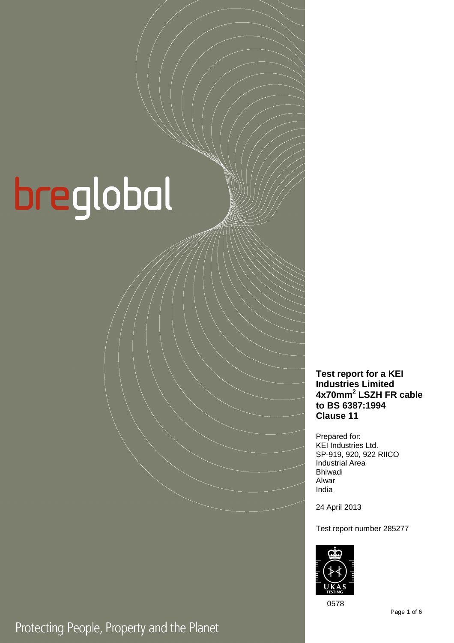# breglobal

**Test report for a KEI Industries Limited 4x70mm<sup>2</sup> LSZH FR cable to BS 6387:1994 Clause 11** 

Prepared for: KEI Industries Ltd. SP-919, 920, 922 RIICO Industrial Area Bhiwadi Alwar India

24 April 2013

Test report number 285277



0578

Protecting People, Property and the Planet

Page 1 of 6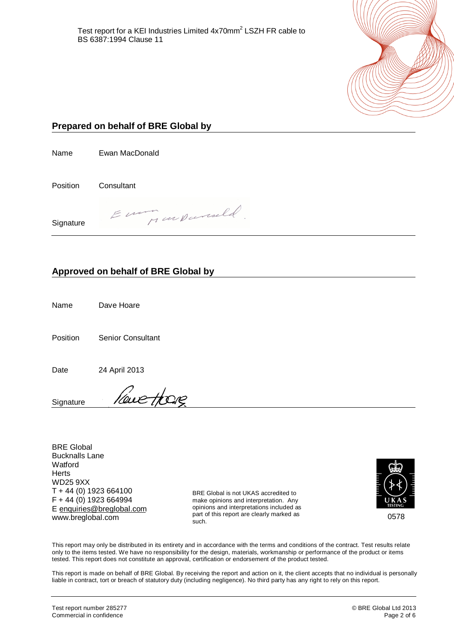

# **Prepared on behalf of BRE Global by**

Name Ewan MacDonald

Position Consultant

Eumon un parcell **Signature** 

### **Approved on behalf of BRE Global by**

Name Dave Hoare

Position Senior Consultant

Date 24 April 2013

leve Hore **Signature** 

BRE Global Bucknalls Lane **Watford Herts** WD25 9XX T + 44 (0) 1923 664100 F + 44 (0) 1923 664994 E [enquiries@breglobal.com](mailto:enquiries@breglobal.com) www.breglobal.com

BRE Global is not UKAS accredited to make opinions and interpretation. Any opinions and interpretations included as part of this report are clearly marked as such.



This report may only be distributed in its entirety and in accordance with the terms and conditions of the contract. Test results relate only to the items tested. We have no responsibility for the design, materials, workmanship or performance of the product or items tested. This report does not constitute an approval, certification or endorsement of the product tested.

This report is made on behalf of BRE Global. By receiving the report and action on it, the client accepts that no individual is personally liable in contract, tort or breach of statutory duty (including negligence). No third party has any right to rely on this report.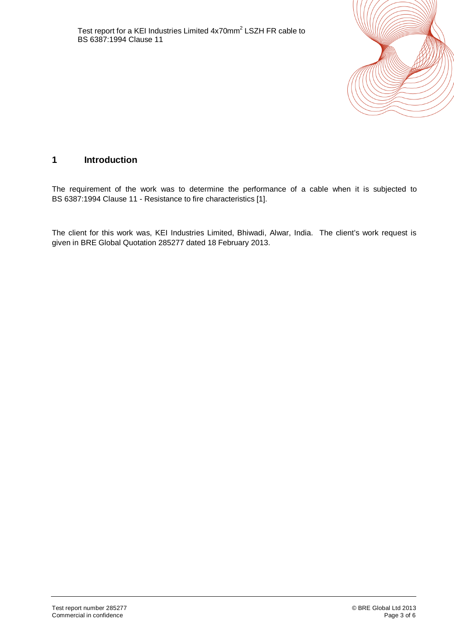

# **1 Introduction**

The requirement of the work was to determine the performance of a cable when it is subjected to BS 6387:1994 Clause 11 - Resistance to fire characteristics [1].

The client for this work was, KEI Industries Limited, Bhiwadi, Alwar, India. The client's work request is given in BRE Global Quotation 285277 dated 18 February 2013.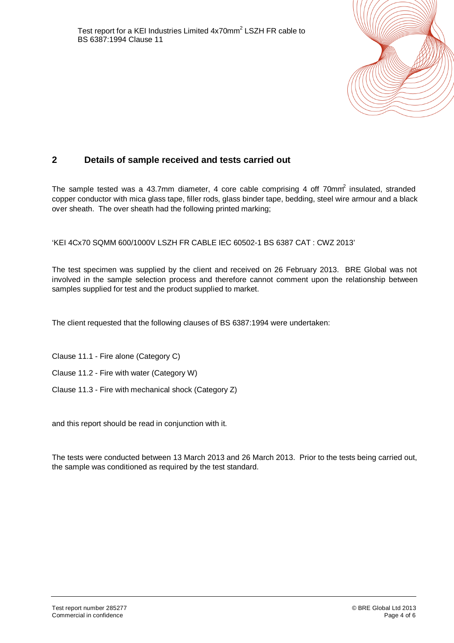

# **2 Details of sample received and tests carried out**

The sample tested was a 43.7mm diameter, 4 core cable comprising 4 off 70mm $\hat{i}$  insulated, stranded copper conductor with mica glass tape, filler rods, glass binder tape, bedding, steel wire armour and a black over sheath. The over sheath had the following printed marking;

'KEI 4Cx70 SQMM 600/1000V LSZH FR CABLE IEC 60502-1 BS 6387 CAT : CWZ 2013'

The test specimen was supplied by the client and received on 26 February 2013. BRE Global was not involved in the sample selection process and therefore cannot comment upon the relationship between samples supplied for test and the product supplied to market.

The client requested that the following clauses of BS 6387:1994 were undertaken:

Clause 11.1 - Fire alone (Category C)

Clause 11.2 - Fire with water (Category W)

Clause 11.3 - Fire with mechanical shock (Category Z)

and this report should be read in conjunction with it.

The tests were conducted between 13 March 2013 and 26 March 2013. Prior to the tests being carried out, the sample was conditioned as required by the test standard.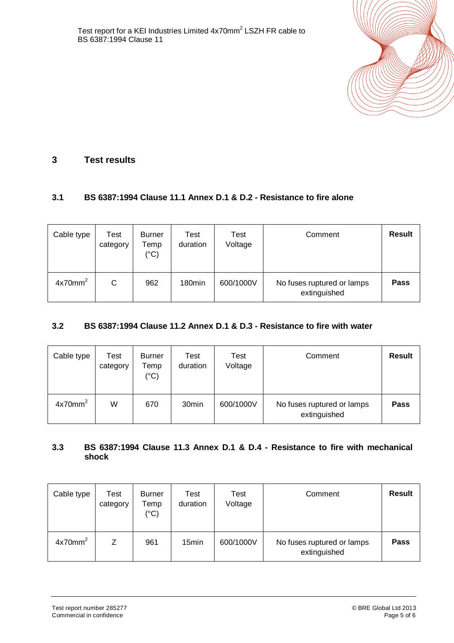

# **3 Test results**

#### **3.1 BS 6387:1994 Clause 11.1 Annex D.1 & D.2 - Resistance to fire alone**

| Cable type          | Test<br>category | <b>Burner</b><br>Temp<br>$(^{\circ}C)$ | Test<br>duration   | Test<br>Voltage | Comment                                    | <b>Result</b> |
|---------------------|------------------|----------------------------------------|--------------------|-----------------|--------------------------------------------|---------------|
| 4x70mm <sup>2</sup> | С                | 962                                    | 180 <sub>min</sub> | 600/1000V       | No fuses ruptured or lamps<br>extinguished | <b>Pass</b>   |

#### **3.2 BS 6387:1994 Clause 11.2 Annex D.1 & D.3 - Resistance to fire with water**

| Cable type          | Test<br>category | <b>Burner</b><br>Temp<br>$(^\circ C)$ | Test<br>duration  | Test<br>Voltage | Comment                                    | <b>Result</b> |
|---------------------|------------------|---------------------------------------|-------------------|-----------------|--------------------------------------------|---------------|
| 4x70mm <sup>2</sup> | W                | 670                                   | 30 <sub>min</sub> | 600/1000V       | No fuses ruptured or lamps<br>extinguished | <b>Pass</b>   |

#### **3.3 BS 6387:1994 Clause 11.3 Annex D.1 & D.4 - Resistance to fire with mechanical shock**

| Cable type          | Test<br>category | <b>Burner</b><br>Temp<br>$(^\circ C)$ | Test<br>duration  | Test<br>Voltage | Comment                                    | <b>Result</b> |
|---------------------|------------------|---------------------------------------|-------------------|-----------------|--------------------------------------------|---------------|
| 4x70mm <sup>2</sup> |                  | 961                                   | 15 <sub>min</sub> | 600/1000V       | No fuses ruptured or lamps<br>extinguished | <b>Pass</b>   |